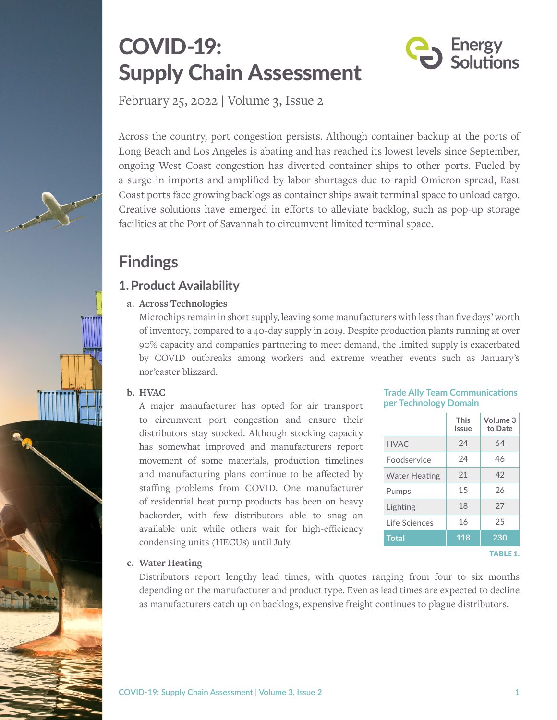# COVID-19: Supply Chain Assessment



February 25, 2022 | Volume 3, Issue 2

Across the country, port congestion persists. Although container backup at the ports of Long Beach and Los Angeles is abating and has reached its lowest levels since September, ongoing West Coast congestion has diverted container ships to other ports. Fueled by a surge in imports and amplified by labor shortages due to rapid Omicron spread, East Coast ports face growing backlogs as container ships await terminal space to unload cargo. Creative solutions have emerged in efforts to alleviate backlog, such as pop-up storage facilities at the Port of Savannah to circumvent limited terminal space.

## **Findings**

## **1.Product Availability**

#### **a. Across Technologies**

Microchips remain in short supply, leaving some manufacturers with less than five days' worth of inventory, compared to a 40-day supply in 2019. Despite production plants running at over 90% capacity and companies partnering to meet demand, the limited supply is exacerbated by COVID outbreaks among workers and extreme weather events such as January's nor'easter blizzard.

#### **b. HVAC**

A major manufacturer has opted for air transport to circumvent port congestion and ensure their distributors stay stocked. Although stocking capacity has somewhat improved and manufacturers report movement of some materials, production timelines and manufacturing plans continue to be affected by staffing problems from COVID. One manufacturer of residential heat pump products has been on heavy backorder, with few distributors able to snag an available unit while others wait for high-efficiency condensing units (HECUs) until July.

#### **Trade Ally Team Communications per Technology Domain**

|                      | <b>This</b><br>Issue | Volume 3<br>to Date |
|----------------------|----------------------|---------------------|
| <b>HVAC</b>          | 24                   | 64                  |
| <b>Foodservice</b>   | 24                   | 46                  |
| <b>Water Heating</b> | 21                   | 42                  |
| Pumps                | 15                   | 26                  |
| Lighting             | 18                   | 27                  |
| Life Sciences        | 16                   | 25                  |
| <b>Total</b>         | 118                  | 230                 |
|                      |                      | TARI F 1.           |

#### **c. Water Heating**

Distributors report lengthy lead times, with quotes ranging from four to six months depending on the manufacturer and product type. Even as lead times are expected to decline as manufacturers catch up on backlogs, expensive freight continues to plague distributors.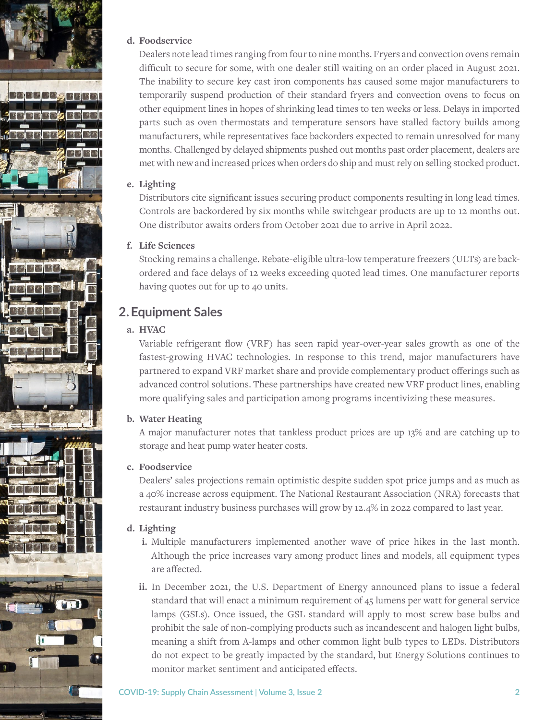

#### **d. Foodservice**

Dealers note lead times ranging from four to nine months. Fryers and convection ovens remain difficult to secure for some, with one dealer still waiting on an order placed in August 2021. The inability to secure key cast iron components has caused some major manufacturers to temporarily suspend production of their standard fryers and convection ovens to focus on other equipment lines in hopes of shrinking lead times to ten weeks or less. Delays in imported parts such as oven thermostats and temperature sensors have stalled factory builds among manufacturers, while representatives face backorders expected to remain unresolved for many months. Challenged by delayed shipments pushed out months past order placement, dealers are met with new and increased prices when orders do ship and must rely on selling stocked product.

#### **e. Lighting**

Distributors cite significant issues securing product components resulting in long lead times. Controls are backordered by six months while switchgear products are up to 12 months out. One distributor awaits orders from October 2021 due to arrive in April 2022.

#### **f. Life Sciences**

Stocking remains a challenge. Rebate-eligible ultra-low temperature freezers (ULTs) are backordered and face delays of 12 weeks exceeding quoted lead times. One manufacturer reports having quotes out for up to 40 units.

### **2.Equipment Sales**

#### **a. HVAC**

Variable refrigerant flow (VRF) has seen rapid year-over-year sales growth as one of the fastest-growing HVAC technologies. In response to this trend, major manufacturers have partnered to expand VRF market share and provide complementary product offerings such as advanced control solutions. These partnerships have created new VRF product lines, enabling more qualifying sales and participation among programs incentivizing these measures.

#### **b. Water Heating**

A major manufacturer notes that tankless product prices are up 13% and are catching up to storage and heat pump water heater costs.

#### **c. Foodservice**

Dealers' sales projections remain optimistic despite sudden spot price jumps and as much as a 40% increase across equipment. The National Restaurant Association (NRA) forecasts that restaurant industry business purchases will grow by 12.4% in 2022 compared to last year.

#### **d. Lighting**

- **i.** Multiple manufacturers implemented another wave of price hikes in the last month. Although the price increases vary among product lines and models, all equipment types are affected.
- **ii.** In December 2021, the U.S. Department of Energy announced plans to issue a federal standard that will enact a minimum requirement of 45 lumens per watt for general service lamps (GSLs). Once issued, the GSL standard will apply to most screw base bulbs and prohibit the sale of non-complying products such as incandescent and halogen light bulbs, meaning a shift from A-lamps and other common light bulb types to LEDs. Distributors do not expect to be greatly impacted by the standard, but Energy Solutions continues to monitor market sentiment and anticipated effects.